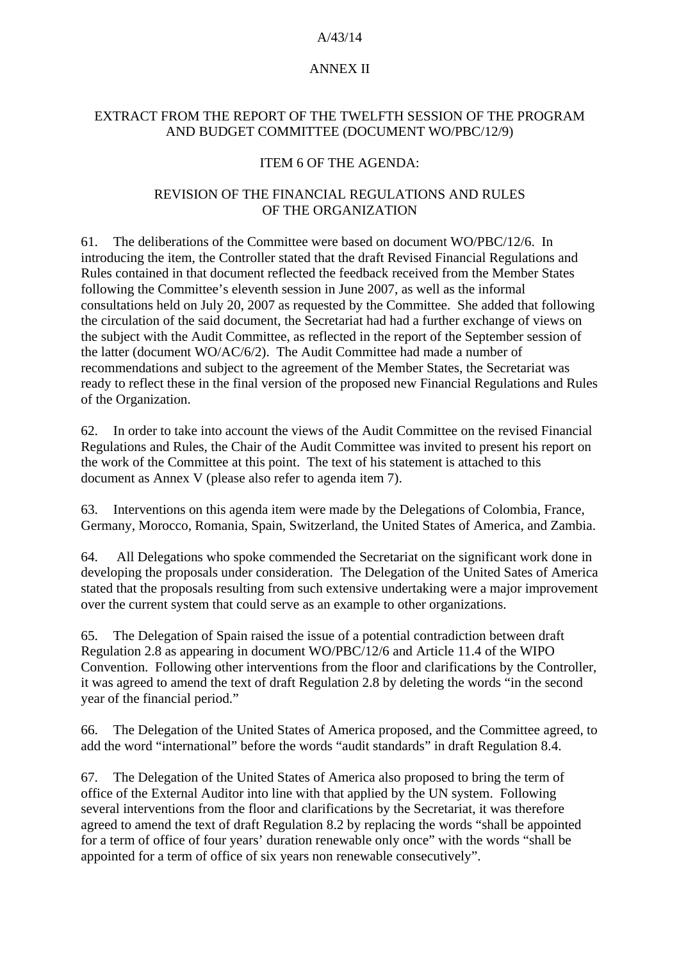### A/43/14

# ANNEX II

# EXTRACT FROM THE REPORT OF THE TWELFTH SESSION OF THE PROGRAM AND BUDGET COMMITTEE (DOCUMENT WO/PBC/12/9)

# ITEM 6 OF THE AGENDA:

### REVISION OF THE FINANCIAL REGULATIONS AND RULES OF THE ORGANIZATION

61. The deliberations of the Committee were based on document WO/PBC/12/6. In introducing the item, the Controller stated that the draft Revised Financial Regulations and Rules contained in that document reflected the feedback received from the Member States following the Committee's eleventh session in June 2007, as well as the informal consultations held on July 20, 2007 as requested by the Committee. She added that following the circulation of the said document, the Secretariat had had a further exchange of views on the subject with the Audit Committee, as reflected in the report of the September session of the latter (document WO/AC/6/2). The Audit Committee had made a number of recommendations and subject to the agreement of the Member States, the Secretariat was ready to reflect these in the final version of the proposed new Financial Regulations and Rules of the Organization.

62. In order to take into account the views of the Audit Committee on the revised Financial Regulations and Rules, the Chair of the Audit Committee was invited to present his report on the work of the Committee at this point. The text of his statement is attached to this document as Annex V (please also refer to agenda item 7).

63. Interventions on this agenda item were made by the Delegations of Colombia, France, Germany, Morocco, Romania, Spain, Switzerland, the United States of America, and Zambia.

64. All Delegations who spoke commended the Secretariat on the significant work done in developing the proposals under consideration. The Delegation of the United Sates of America stated that the proposals resulting from such extensive undertaking were a major improvement over the current system that could serve as an example to other organizations.

65. The Delegation of Spain raised the issue of a potential contradiction between draft Regulation 2.8 as appearing in document WO/PBC/12/6 and Article 11.4 of the WIPO Convention. Following other interventions from the floor and clarifications by the Controller, it was agreed to amend the text of draft Regulation 2.8 by deleting the words "in the second year of the financial period."

66. The Delegation of the United States of America proposed, and the Committee agreed, to add the word "international" before the words "audit standards" in draft Regulation 8.4.

67. The Delegation of the United States of America also proposed to bring the term of office of the External Auditor into line with that applied by the UN system. Following several interventions from the floor and clarifications by the Secretariat, it was therefore agreed to amend the text of draft Regulation 8.2 by replacing the words "shall be appointed for a term of office of four years' duration renewable only once" with the words "shall be appointed for a term of office of six years non renewable consecutively".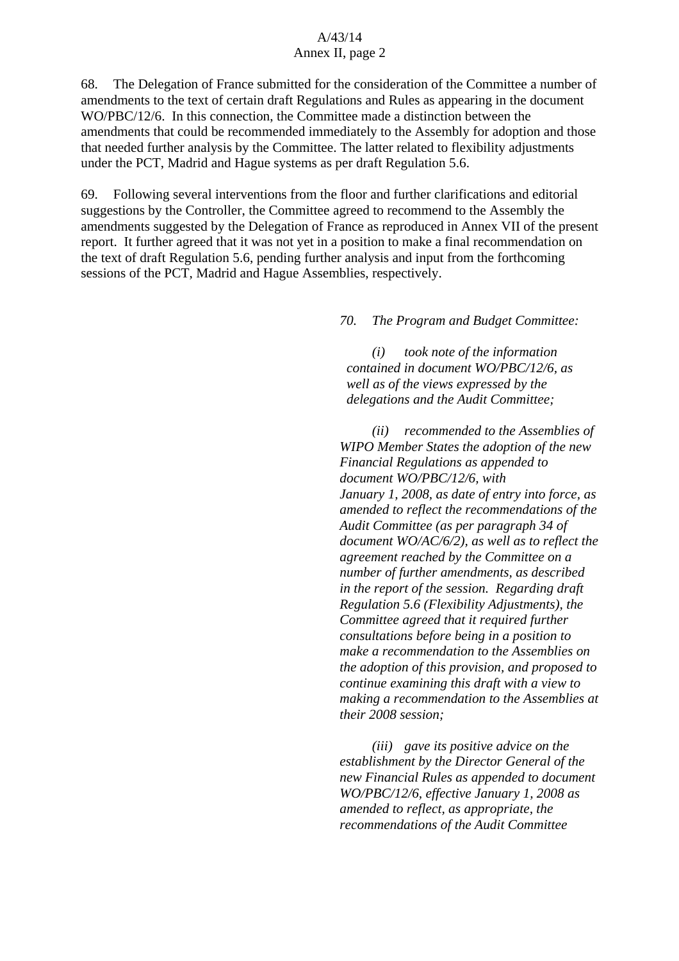68. The Delegation of France submitted for the consideration of the Committee a number of amendments to the text of certain draft Regulations and Rules as appearing in the document WO/PBC/12/6. In this connection, the Committee made a distinction between the amendments that could be recommended immediately to the Assembly for adoption and those that needed further analysis by the Committee. The latter related to flexibility adjustments under the PCT, Madrid and Hague systems as per draft Regulation 5.6.

69. Following several interventions from the floor and further clarifications and editorial suggestions by the Controller, the Committee agreed to recommend to the Assembly the amendments suggested by the Delegation of France as reproduced in Annex VII of the present report. It further agreed that it was not yet in a position to make a final recommendation on the text of draft Regulation 5.6, pending further analysis and input from the forthcoming sessions of the PCT, Madrid and Hague Assemblies, respectively.

#### *70. The Program and Budget Committee:*

 *(i) took note of the information contained in document WO/PBC/12/6, as well as of the views expressed by the delegations and the Audit Committee;* 

 *(ii) recommended to the Assemblies of WIPO Member States the adoption of the new Financial Regulations as appended to document WO/PBC/12/6, with January 1, 2008, as date of entry into force, as amended to reflect the recommendations of the Audit Committee (as per paragraph 34 of document WO/AC/6/2), as well as to reflect the agreement reached by the Committee on a number of further amendments, as described in the report of the session. Regarding draft Regulation 5.6 (Flexibility Adjustments), the Committee agreed that it required further consultations before being in a position to make a recommendation to the Assemblies on the adoption of this provision, and proposed to continue examining this draft with a view to making a recommendation to the Assemblies at their 2008 session;* 

 *(iii) gave its positive advice on the establishment by the Director General of the new Financial Rules as appended to document WO/PBC/12/6, effective January 1, 2008 as amended to reflect, as appropriate, the recommendations of the Audit Committee*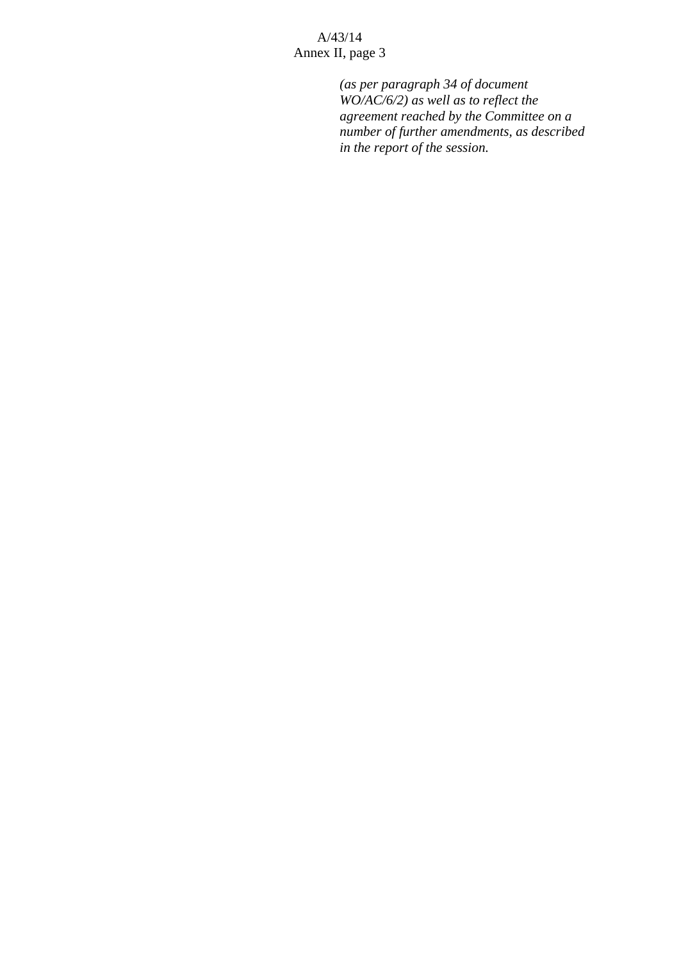> *(as per paragraph 34 of document WO/AC/6/2) as well as to reflect the agreement reached by the Committee on a number of further amendments, as described in the report of the session.*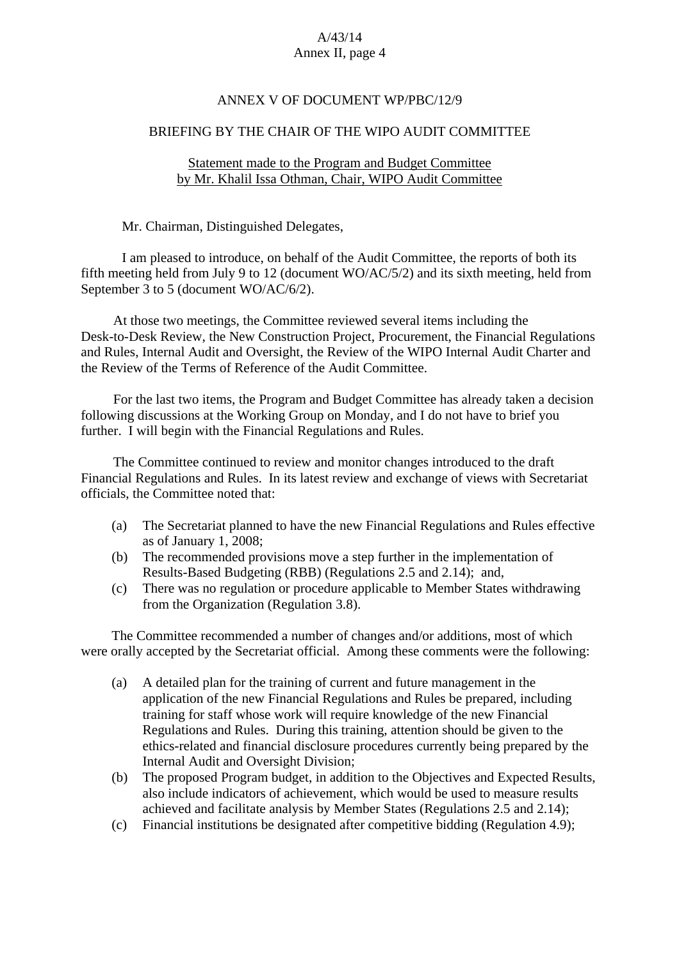### ANNEX V OF DOCUMENT WP/PBC/12/9

#### BRIEFING BY THE CHAIR OF THE WIPO AUDIT COMMITTEE

### Statement made to the Program and Budget Committee by Mr. Khalil Issa Othman, Chair, WIPO Audit Committee

Mr. Chairman, Distinguished Delegates,

I am pleased to introduce, on behalf of the Audit Committee, the reports of both its fifth meeting held from July 9 to 12 (document WO/AC/5/2) and its sixth meeting, held from September 3 to 5 (document WO/AC/6/2).

At those two meetings, the Committee reviewed several items including the Desk-to-Desk Review, the New Construction Project, Procurement, the Financial Regulations and Rules, Internal Audit and Oversight, the Review of the WIPO Internal Audit Charter and the Review of the Terms of Reference of the Audit Committee.

For the last two items, the Program and Budget Committee has already taken a decision following discussions at the Working Group on Monday, and I do not have to brief you further. I will begin with the Financial Regulations and Rules.

 The Committee continued to review and monitor changes introduced to the draft Financial Regulations and Rules. In its latest review and exchange of views with Secretariat officials, the Committee noted that:

- (a) The Secretariat planned to have the new Financial Regulations and Rules effective as of January 1, 2008;
- (b) The recommended provisions move a step further in the implementation of Results-Based Budgeting (RBB) (Regulations 2.5 and 2.14); and,
- (c) There was no regulation or procedure applicable to Member States withdrawing from the Organization (Regulation 3.8).

 The Committee recommended a number of changes and/or additions, most of which were orally accepted by the Secretariat official. Among these comments were the following:

- (a) A detailed plan for the training of current and future management in the application of the new Financial Regulations and Rules be prepared, including training for staff whose work will require knowledge of the new Financial Regulations and Rules. During this training, attention should be given to the ethics-related and financial disclosure procedures currently being prepared by the Internal Audit and Oversight Division;
- (b) The proposed Program budget, in addition to the Objectives and Expected Results, also include indicators of achievement, which would be used to measure results achieved and facilitate analysis by Member States (Regulations 2.5 and 2.14);
- (c) Financial institutions be designated after competitive bidding (Regulation 4.9);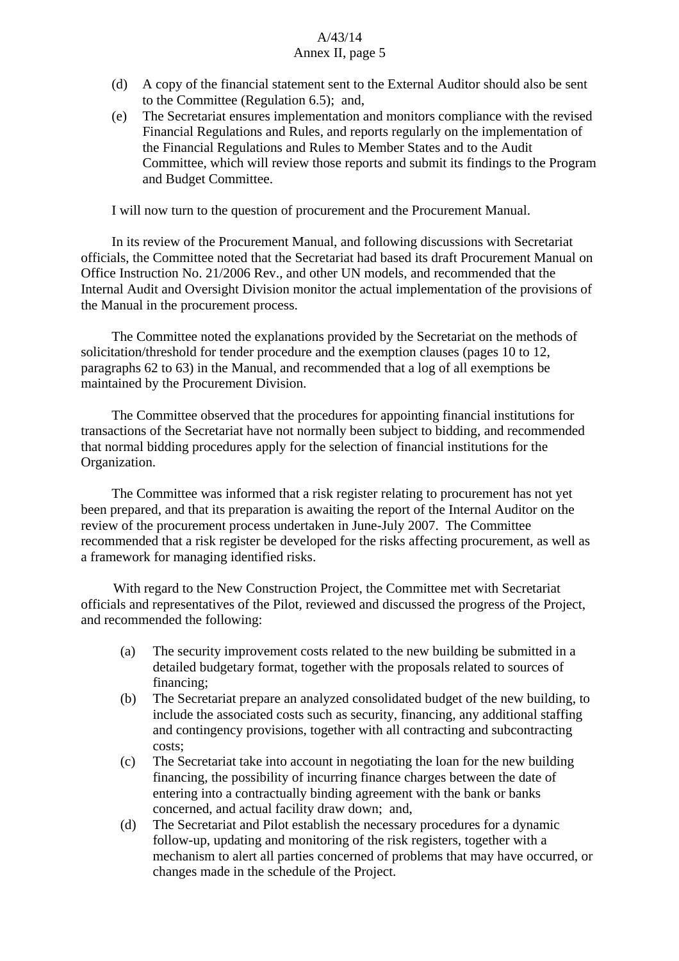- (d) A copy of the financial statement sent to the External Auditor should also be sent to the Committee (Regulation 6.5); and,
- (e) The Secretariat ensures implementation and monitors compliance with the revised Financial Regulations and Rules, and reports regularly on the implementation of the Financial Regulations and Rules to Member States and to the Audit Committee, which will review those reports and submit its findings to the Program and Budget Committee.

I will now turn to the question of procurement and the Procurement Manual.

 In its review of the Procurement Manual, and following discussions with Secretariat officials, the Committee noted that the Secretariat had based its draft Procurement Manual on Office Instruction No. 21/2006 Rev., and other UN models, and recommended that the Internal Audit and Oversight Division monitor the actual implementation of the provisions of the Manual in the procurement process.

 The Committee noted the explanations provided by the Secretariat on the methods of solicitation/threshold for tender procedure and the exemption clauses (pages 10 to 12, paragraphs 62 to 63) in the Manual, and recommended that a log of all exemptions be maintained by the Procurement Division.

The Committee observed that the procedures for appointing financial institutions for transactions of the Secretariat have not normally been subject to bidding, and recommended that normal bidding procedures apply for the selection of financial institutions for the Organization.

 The Committee was informed that a risk register relating to procurement has not yet been prepared, and that its preparation is awaiting the report of the Internal Auditor on the review of the procurement process undertaken in June-July 2007. The Committee recommended that a risk register be developed for the risks affecting procurement, as well as a framework for managing identified risks.

 With regard to the New Construction Project, the Committee met with Secretariat officials and representatives of the Pilot, reviewed and discussed the progress of the Project, and recommended the following:

- (a) The security improvement costs related to the new building be submitted in a detailed budgetary format, together with the proposals related to sources of financing;
- (b) The Secretariat prepare an analyzed consolidated budget of the new building, to include the associated costs such as security, financing, any additional staffing and contingency provisions, together with all contracting and subcontracting costs;
- (c) The Secretariat take into account in negotiating the loan for the new building financing, the possibility of incurring finance charges between the date of entering into a contractually binding agreement with the bank or banks concerned, and actual facility draw down; and,
- (d) The Secretariat and Pilot establish the necessary procedures for a dynamic follow-up, updating and monitoring of the risk registers, together with a mechanism to alert all parties concerned of problems that may have occurred, or changes made in the schedule of the Project.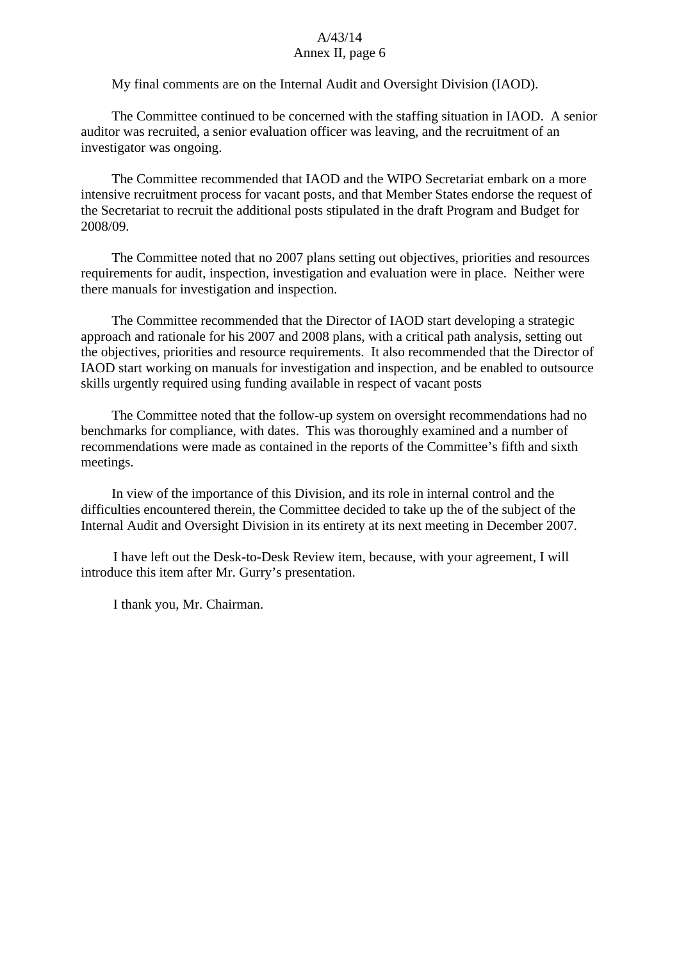My final comments are on the Internal Audit and Oversight Division (IAOD).

The Committee continued to be concerned with the staffing situation in IAOD. A senior auditor was recruited, a senior evaluation officer was leaving, and the recruitment of an investigator was ongoing.

The Committee recommended that IAOD and the WIPO Secretariat embark on a more intensive recruitment process for vacant posts, and that Member States endorse the request of the Secretariat to recruit the additional posts stipulated in the draft Program and Budget for 2008/09.

The Committee noted that no 2007 plans setting out objectives, priorities and resources requirements for audit, inspection, investigation and evaluation were in place. Neither were there manuals for investigation and inspection.

The Committee recommended that the Director of IAOD start developing a strategic approach and rationale for his 2007 and 2008 plans, with a critical path analysis, setting out the objectives, priorities and resource requirements. It also recommended that the Director of IAOD start working on manuals for investigation and inspection, and be enabled to outsource skills urgently required using funding available in respect of vacant posts

The Committee noted that the follow-up system on oversight recommendations had no benchmarks for compliance, with dates. This was thoroughly examined and a number of recommendations were made as contained in the reports of the Committee's fifth and sixth meetings.

In view of the importance of this Division, and its role in internal control and the difficulties encountered therein, the Committee decided to take up the of the subject of the Internal Audit and Oversight Division in its entirety at its next meeting in December 2007.

 I have left out the Desk-to-Desk Review item, because, with your agreement, I will introduce this item after Mr. Gurry's presentation.

I thank you, Mr. Chairman.